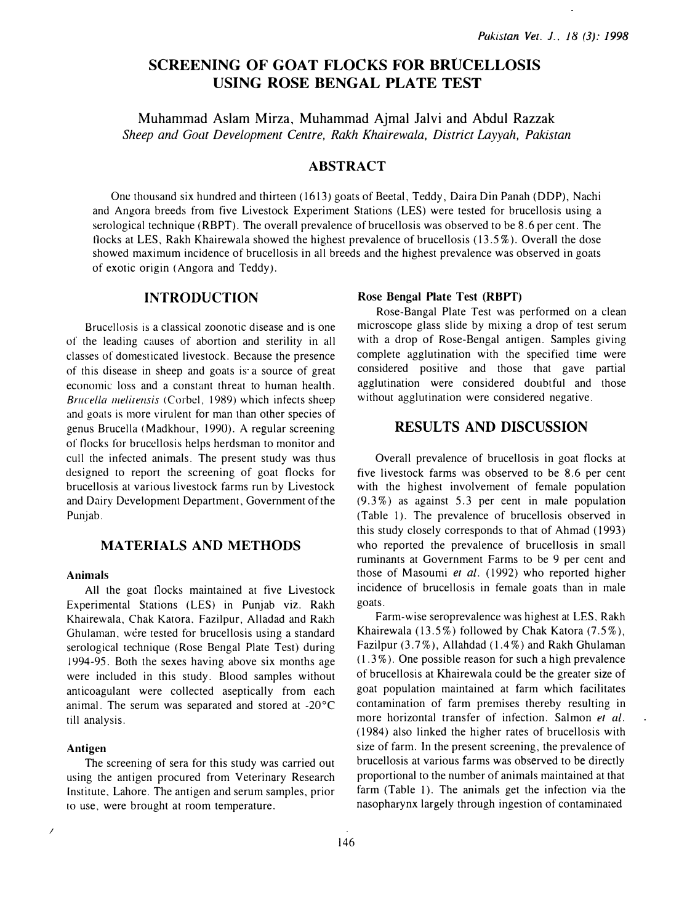# SCREENING OF GOAT FLOCKS FOR BRUCELLOSIS USING ROSE BENGAL PLATE TEST

Muhan1mad Aslam Mirza, Muhammad Ajmal Jalvi and Abdul Razzak Sheep and Goat Development Centre, Rakh Khairewala, District Layyah, Pakistan

### ABSTRACT

One thousand six hundred and thirteen (1613) goats of Beetal, Teddy, Daira Din Panah (DDP), Nachi and Angora breeds from five Livestock Experiment Stations (LES) were tested for brucellosis using a serological technique (RBPT). The overall prevalence of brucellosis was observed to be 8.6 per cent. The tlocks at LES, Rakh Khairewala showed the highest prevalence of brucellosis (13.5%). Overall the dose showed maximum incidence of brucellosis in all breeds and the highest prevalence was observed in goats of exotic origin (Angora and Teddy).

### INTRODUCTION

Brucellosis is a classical zoonotic disease and is one of the leading causes of abortion and sterility in all classes of domesticated livestock. Because the presence of this disease in sheep and goats is a source of great economic loss and a constant threat to human health. Brucella melitensis (Corbel, 1989) which infects sheep and goats is more virulent for man than other species of genus Brucella ( Madkhour, 1990). A regular screening of tlocks for brucellosis helps herdsman to monitor and cull the infected animals. The present study was thus designed to report the screening of goat flocks for brucellosis at various livestock farms run by Livestock and Dairy Development Department, Government of the Punjab.

### MATERIALS AND METHODS

#### Animals

All the goat tlocks maintained at five Livestock Experimental Stations (LES) in Punjab viz. Rakh Khairewala, Chak Katora, Fazilpur, Alladad and Rakh Ghulaman. were tested for brucellosis using a standard serological technique (Rose Bengal Plate Test) during 1994-95. Both the sexes having above six months age were included in this study. Blood samples without anticoagulant were collected aseptically from each animal. The serum was separated and stored at -20°C till analysis.

#### Antigen

 $\overline{\phantom{a}}$ 

The screening of sera for this study was carried out using the antigen procured from Veterinary Research Institute, Lahore. The antigen and serum samples, prior to use, were brought at room temperature.

#### Rose Bengal Plate Test (RBPT)

Rose-Bangal Plate Test was performed on a clean microscope glass slide by mixing a drop of test serum with a drop of Rose-Bengal antigen. Samples giving complete agglutination with the specified time were considered positive and those that gave partial agglutination were considered doubtful and those without agglutination were considered negative.

### RESULTS AND DISCUSSION

Overall prevalence of brucellosis in goat flocks at five livestock farms was observed to be 8.6 per cent with the highest involvement of female population (9. 3%) as against 5. 3 per eent in male population (Table 1). The prevalence of brucellosis observed in this study closely corresponds to that of Ahmad (1993) who reported the prevalence of brucellosis in small ruminants at Government Farms to be 9 per cent and those of Masoumi et al. (1992) who reported higher incidence of brucellosis in female goats than in male goats.

Farm-wise seroprevalence was highest at LES, Rakh Khairewala (13.5%) followed by Chak Katora  $(7.5\%)$ , Fazilpur  $(3.7\%)$ , Allahdad  $(1.4\%)$  and Rakh Ghulaman  $(1.3\%)$ . One possible reason for such a high prevalence of brucellosis at Khairewala could be the greater size of goat population maintained at farm which facilitates contamination of farm premises thereby resulting in more horizontal transfer of infection. Salmon et al. ( 1984) also linked the higher rates of brucellosis with size of farm. In the present screening, the prevalence of brucellosis at various farms was observed to be directly proportional to the number of animals maintained at that farm (Table 1). The animals get the infection via the nasopharynx largely through ingestion of contaminated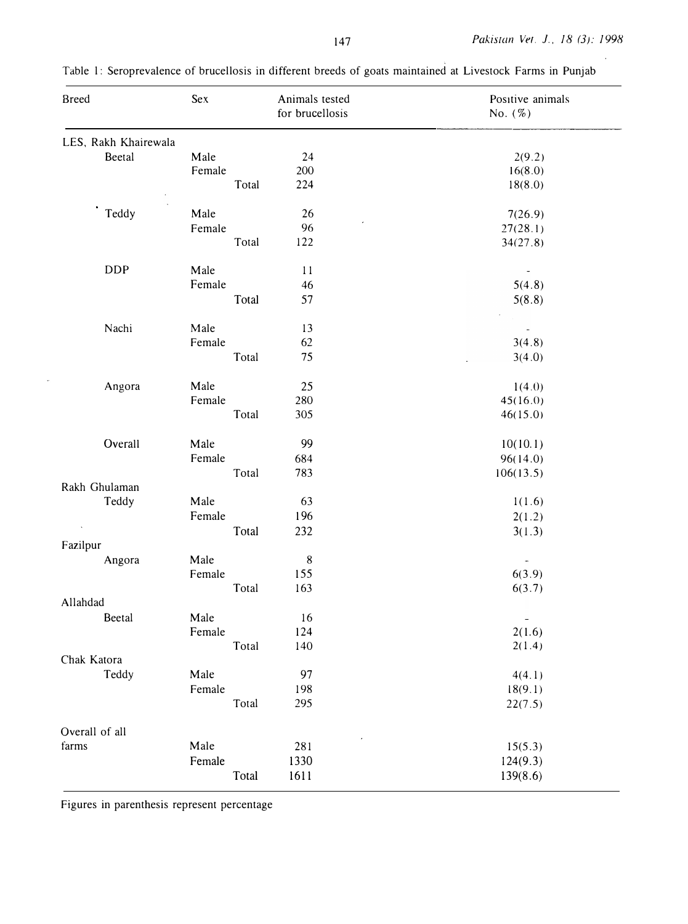| <b>Breed</b>         | Sex    | Animals tested<br>for brucellosis | Positive animals<br>No. $(\%)$ |
|----------------------|--------|-----------------------------------|--------------------------------|
| LES, Rakh Khairewala |        |                                   |                                |
| Beetal               | Male   | 24                                | 2(9.2)                         |
|                      | Female | 200                               | 16(8.0)                        |
|                      | Total  | 224                               | 18(8.0)                        |
|                      |        |                                   |                                |
| Teddy                | Male   | 26                                | 7(26.9)                        |
|                      | Female | 96                                | 27(28.1)                       |
|                      | Total  | 122                               | 34(27.8)                       |
| <b>DDP</b>           | Male   | $11$                              | $\overline{\phantom{a}}$       |
|                      | Female | 46                                | 5(4.8)                         |
|                      | Total  | 57                                | 5(8.8)                         |
| Nachi                | Male   | 13                                | $\overline{\phantom{a}}$       |
|                      | Female | 62                                | 3(4.8)                         |
|                      | Total  | 75                                | 3(4.0)                         |
| Angora               | Male   | 25                                | 1(4.0)                         |
|                      | Female | 280                               | 45(16.0)                       |
|                      | Total  | 305<br>46(15.0)                   |                                |
| Overall              | Male   | 99                                | 10(10.1)                       |
|                      | Female | 684                               | 96(14.0)                       |
|                      | Total  | 783                               | 106(13.5)                      |
| Rakh Ghulaman        |        |                                   |                                |
| Teddy                | Male   | 63                                | 1(1.6)                         |
|                      | Female | 196                               | 2(1.2)                         |
|                      | Total  | 232                               | 3(1.3)                         |
| Fazilpur             |        |                                   |                                |
| Angora               | Male   | $\,8\,$                           | $\overline{\phantom{a}}$       |
|                      | Female | 155                               | 6(3.9)                         |
|                      | Total  | 163                               | 6(3.7)                         |
| Allahdad             |        |                                   |                                |
| Beetal               | Male   | 16                                |                                |
|                      | Female | 124                               | 2(1.6)                         |
|                      | Total  | 140                               | 2(1.4)                         |
| Chak Katora          |        |                                   |                                |
| Teddy                | Male   | 97                                | 4(4.1)                         |
|                      | Female | 198                               | 18(9.1)                        |
|                      | Total  | 295                               | 22(7.5)                        |
| Overall of all       |        |                                   |                                |
| farms                | Male   | 281                               | 15(5.3)                        |
|                      | Female | 1330                              | 124(9.3)                       |
|                      | Total  | 1611                              | 139(8.6)                       |

Table 1: Seroprevalence of brucellosis in different breeds of goats maintained at Livestock Farms in Punjab

Figures in parenthesis represent percentage

 $\ddot{\phantom{a}}$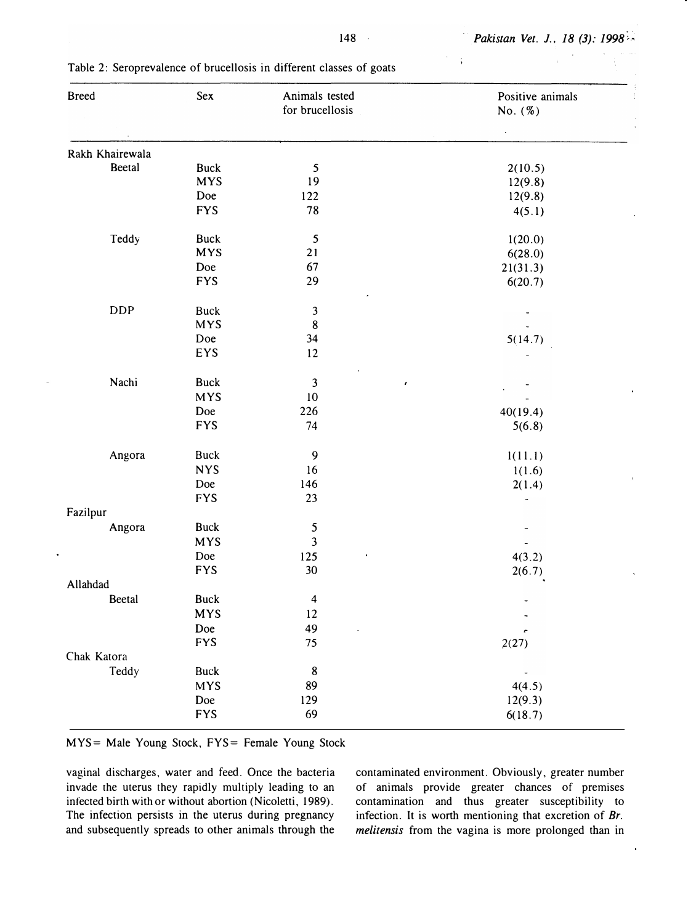| <b>Breed</b>    | Sex         | Animals tested<br>for brucellosis | Positive animals<br>No. $(%)$ |
|-----------------|-------------|-----------------------------------|-------------------------------|
|                 |             |                                   |                               |
|                 |             |                                   |                               |
| Rakh Khairewala |             |                                   |                               |
| Beetal          | <b>Buck</b> | $\mathfrak{S}$                    | 2(10.5)                       |
|                 | <b>MYS</b>  | 19                                | 12(9.8)                       |
|                 | Doe         | 122                               | 12(9.8)                       |
|                 | <b>FYS</b>  | 78                                | 4(5.1)                        |
| Teddy           | <b>Buck</b> | $\sqrt{5}$                        | 1(20.0)                       |
|                 | <b>MYS</b>  | 21                                | 6(28.0)                       |
|                 | Doe         | 67                                | 21(31.3)                      |
|                 | <b>FYS</b>  | 29                                | 6(20.7)                       |
| <b>DDP</b>      | <b>Buck</b> | $\mathfrak{Z}$                    |                               |
|                 | <b>MYS</b>  | $\bf 8$                           |                               |
|                 | Doe         | 34                                | 5(14.7)                       |
|                 | EYS         | 12                                |                               |
| Nachi           | <b>Buck</b> | $\mathbf{3}$<br>$\pmb{\epsilon}$  |                               |
|                 | <b>MYS</b>  | 10                                |                               |
|                 | Doe         | 226                               | 40(19.4)                      |
|                 | <b>FYS</b>  | 74                                | 5(6.8)                        |
|                 |             |                                   |                               |
| Angora          | <b>Buck</b> | 9                                 | 1(11.1)                       |
|                 | <b>NYS</b>  | 16                                | 1(1.6)                        |
|                 | Doe         | 146                               | 2(1.4)                        |
|                 | <b>FYS</b>  | 23                                |                               |
| Fazilpur        |             |                                   |                               |
| Angora          | <b>Buck</b> | $\mathsf S$                       |                               |
|                 | <b>MYS</b>  | $\mathfrak{Z}$                    |                               |
|                 | Doe         | 125                               | 4(3.2)                        |
|                 | <b>FYS</b>  | 30                                | 2(6.7)                        |
| Allahdad        |             |                                   |                               |
| Beetal          | <b>Buck</b> | $\overline{\mathbf{4}}$           |                               |
|                 | <b>MYS</b>  | 12                                |                               |
|                 | Doe         | 49<br>l,                          |                               |
|                 | <b>FYS</b>  | 75                                | 2(27)                         |
| Chak Katora     |             |                                   |                               |
| Teddy           | <b>Buck</b> | $\bf 8$                           |                               |
|                 | <b>MYS</b>  | 89                                | 4(4.5)                        |
|                 | Doe         | 129                               | 12(9.3)                       |
|                 | <b>FYS</b>  | 69                                | 6(18.7)                       |

Table 2: Seroprevalence of brucellosis in different classes of goats

MYS= Male Young Stock, FYS= Female Young Stock

vaginal discharges, water and feed. Once the bacteria invade rhe uterus they rapidly multiply leading to an infected birth with or without abortion (Nicoletti, 1989). The infection persists in the uterus during pregnancy and subsequently spreads to other animals through the contaminated environment. Obviously, greater number of animals provide greater chances of premises contamination and thus greater susceptibility to infection. It is worth mentioning that excretion of Br. melitensis from the vagina is more prolonged than in